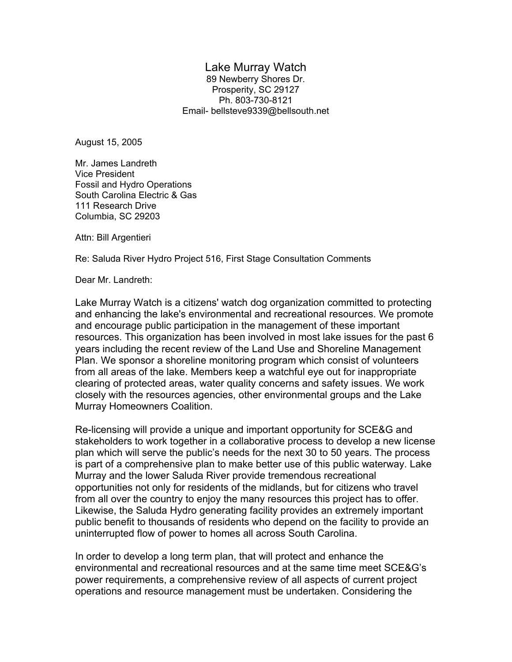#### Lake Murray Watch

89 Newberry Shores Dr. Prosperity, SC 29127 Ph. 803-730-8121 Email- bellsteve9339@bellsouth.net

August 15, 2005

Mr. James Landreth Vice President Fossil and Hydro Operations South Carolina Electric & Gas 111 Research Drive Columbia, SC 29203

Attn: Bill Argentieri

Re: Saluda River Hydro Project 516, First Stage Consultation Comments

Dear Mr. Landreth:

Lake Murray Watch is a citizens' watch dog organization committed to protecting and enhancing the lake's environmental and recreational resources. We promote and encourage public participation in the management of these important resources. This organization has been involved in most lake issues for the past 6 years including the recent review of the Land Use and Shoreline Management Plan. We sponsor a shoreline monitoring program which consist of volunteers from all areas of the lake. Members keep a watchful eye out for inappropriate clearing of protected areas, water quality concerns and safety issues. We work closely with the resources agencies, other environmental groups and the Lake Murray Homeowners Coalition.

Re-licensing will provide a unique and important opportunity for SCE&G and stakeholders to work together in a collaborative process to develop a new license plan which will serve the public's needs for the next 30 to 50 years. The process is part of a comprehensive plan to make better use of this public waterway. Lake Murray and the lower Saluda River provide tremendous recreational opportunities not only for residents of the midlands, but for citizens who travel from all over the country to enjoy the many resources this project has to offer. Likewise, the Saluda Hydro generating facility provides an extremely important public benefit to thousands of residents who depend on the facility to provide an uninterrupted flow of power to homes all across South Carolina.

In order to develop a long term plan, that will protect and enhance the environmental and recreational resources and at the same time meet SCE&G's power requirements, a comprehensive review of all aspects of current project operations and resource management must be undertaken. Considering the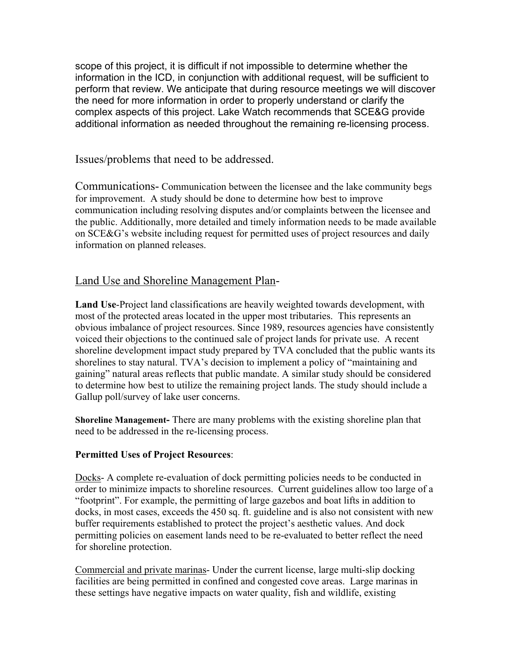scope of this project, it is difficult if not impossible to determine whether the information in the ICD, in conjunction with additional request, will be sufficient to perform that review. We anticipate that during resource meetings we will discover the need for more information in order to properly understand or clarify the complex aspects of this project. Lake Watch recommends that SCE&G provide additional information as needed throughout the remaining re-licensing process.

Issues/problems that need to be addressed.

Communications- Communication between the licensee and the lake community begs for improvement. A study should be done to determine how best to improve communication including resolving disputes and/or complaints between the licensee and the public. Additionally, more detailed and timely information needs to be made available on SCE&G's website including request for permitted uses of project resources and daily information on planned releases.

# Land Use and Shoreline Management Plan-

**Land Use**-Project land classifications are heavily weighted towards development, with most of the protected areas located in the upper most tributaries. This represents an obvious imbalance of project resources. Since 1989, resources agencies have consistently voiced their objections to the continued sale of project lands for private use. A recent shoreline development impact study prepared by TVA concluded that the public wants its shorelines to stay natural. TVA's decision to implement a policy of "maintaining and gaining" natural areas reflects that public mandate. A similar study should be considered to determine how best to utilize the remaining project lands. The study should include a Gallup poll/survey of lake user concerns.

**Shoreline Management-** There are many problems with the existing shoreline plan that need to be addressed in the re-licensing process.

#### **Permitted Uses of Project Resources**:

Docks- A complete re-evaluation of dock permitting policies needs to be conducted in order to minimize impacts to shoreline resources. Current guidelines allow too large of a "footprint". For example, the permitting of large gazebos and boat lifts in addition to docks, in most cases, exceeds the 450 sq. ft. guideline and is also not consistent with new buffer requirements established to protect the project's aesthetic values. And dock permitting policies on easement lands need to be re-evaluated to better reflect the need for shoreline protection.

Commercial and private marinas- Under the current license, large multi-slip docking facilities are being permitted in confined and congested cove areas. Large marinas in these settings have negative impacts on water quality, fish and wildlife, existing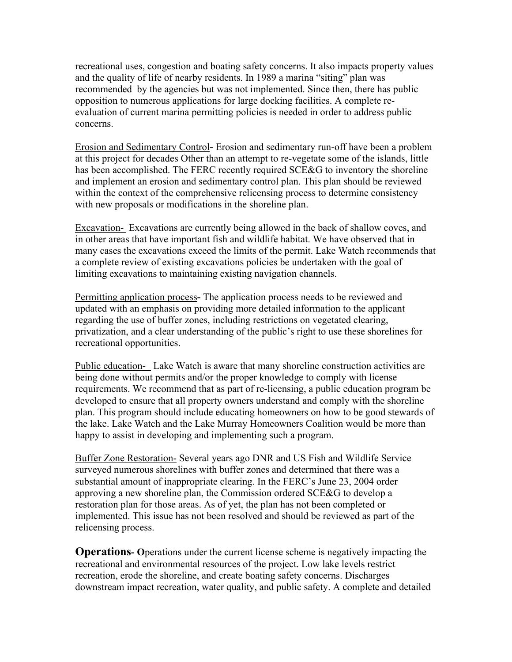recreational uses, congestion and boating safety concerns. It also impacts property values and the quality of life of nearby residents. In 1989 a marina "siting" plan was recommended by the agencies but was not implemented. Since then, there has public opposition to numerous applications for large docking facilities. A complete reevaluation of current marina permitting policies is needed in order to address public concerns.

Erosion and Sedimentary Control**-** Erosion and sedimentary run-off have been a problem at this project for decades Other than an attempt to re-vegetate some of the islands, little has been accomplished. The FERC recently required SCE&G to inventory the shoreline and implement an erosion and sedimentary control plan. This plan should be reviewed within the context of the comprehensive relicensing process to determine consistency with new proposals or modifications in the shoreline plan.

Excavation- Excavations are currently being allowed in the back of shallow coves, and in other areas that have important fish and wildlife habitat. We have observed that in many cases the excavations exceed the limits of the permit. Lake Watch recommends that a complete review of existing excavations policies be undertaken with the goal of limiting excavations to maintaining existing navigation channels.

Permitting application process**-** The application process needs to be reviewed and updated with an emphasis on providing more detailed information to the applicant regarding the use of buffer zones, including restrictions on vegetated clearing, privatization, and a clear understanding of the public's right to use these shorelines for recreational opportunities.

Public education- Lake Watch is aware that many shoreline construction activities are being done without permits and/or the proper knowledge to comply with license requirements. We recommend that as part of re-licensing, a public education program be developed to ensure that all property owners understand and comply with the shoreline plan. This program should include educating homeowners on how to be good stewards of the lake. Lake Watch and the Lake Murray Homeowners Coalition would be more than happy to assist in developing and implementing such a program.

Buffer Zone Restoration- Several years ago DNR and US Fish and Wildlife Service surveyed numerous shorelines with buffer zones and determined that there was a substantial amount of inappropriate clearing. In the FERC's June 23, 2004 order approving a new shoreline plan, the Commission ordered SCE&G to develop a restoration plan for those areas. As of yet, the plan has not been completed or implemented. This issue has not been resolved and should be reviewed as part of the relicensing process.

**Operations- O**perations under the current license scheme is negatively impacting the recreational and environmental resources of the project. Low lake levels restrict recreation, erode the shoreline, and create boating safety concerns. Discharges downstream impact recreation, water quality, and public safety. A complete and detailed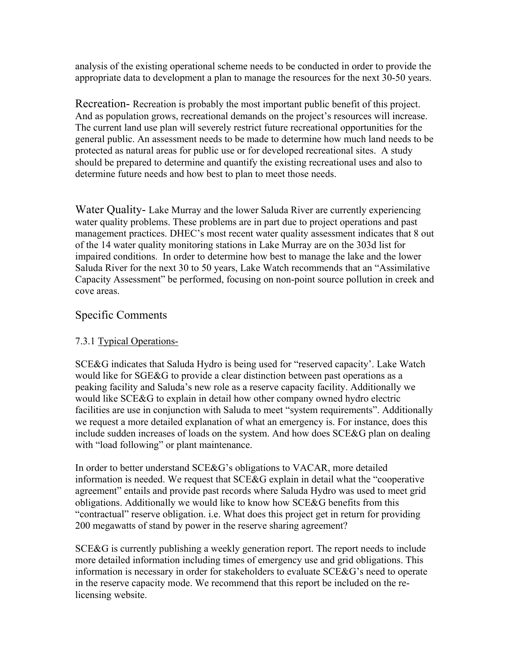analysis of the existing operational scheme needs to be conducted in order to provide the appropriate data to development a plan to manage the resources for the next 30-50 years.

Recreation- Recreation is probably the most important public benefit of this project. And as population grows, recreational demands on the project's resources will increase. The current land use plan will severely restrict future recreational opportunities for the general public. An assessment needs to be made to determine how much land needs to be protected as natural areas for public use or for developed recreational sites. A study should be prepared to determine and quantify the existing recreational uses and also to determine future needs and how best to plan to meet those needs.

Water Quality- Lake Murray and the lower Saluda River are currently experiencing water quality problems. These problems are in part due to project operations and past management practices. DHEC's most recent water quality assessment indicates that 8 out of the 14 water quality monitoring stations in Lake Murray are on the 303d list for impaired conditions. In order to determine how best to manage the lake and the lower Saluda River for the next 30 to 50 years, Lake Watch recommends that an "Assimilative Capacity Assessment" be performed, focusing on non-point source pollution in creek and cove areas.

# Specific Comments

#### 7.3.1 Typical Operations-

SCE&G indicates that Saluda Hydro is being used for "reserved capacity'. Lake Watch would like for SGE&G to provide a clear distinction between past operations as a peaking facility and Saluda's new role as a reserve capacity facility. Additionally we would like SCE&G to explain in detail how other company owned hydro electric facilities are use in conjunction with Saluda to meet "system requirements". Additionally we request a more detailed explanation of what an emergency is. For instance, does this include sudden increases of loads on the system. And how does SCE&G plan on dealing with "load following" or plant maintenance.

In order to better understand SCE&G's obligations to VACAR, more detailed information is needed. We request that SCE&G explain in detail what the "cooperative agreement" entails and provide past records where Saluda Hydro was used to meet grid obligations. Additionally we would like to know how SCE&G benefits from this "contractual" reserve obligation. i.e. What does this project get in return for providing 200 megawatts of stand by power in the reserve sharing agreement?

SCE&G is currently publishing a weekly generation report. The report needs to include more detailed information including times of emergency use and grid obligations. This information is necessary in order for stakeholders to evaluate SCE&G's need to operate in the reserve capacity mode. We recommend that this report be included on the relicensing website.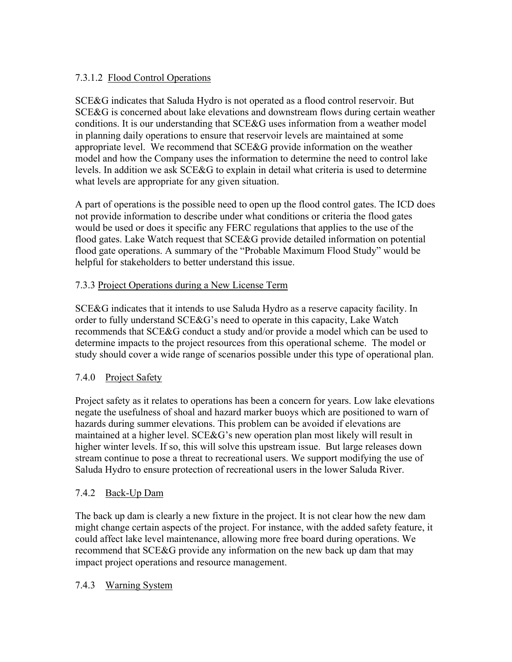# 7.3.1.2 Flood Control Operations

SCE&G indicates that Saluda Hydro is not operated as a flood control reservoir. But SCE&G is concerned about lake elevations and downstream flows during certain weather conditions. It is our understanding that SCE&G uses information from a weather model in planning daily operations to ensure that reservoir levels are maintained at some appropriate level. We recommend that SCE&G provide information on the weather model and how the Company uses the information to determine the need to control lake levels. In addition we ask SCE&G to explain in detail what criteria is used to determine what levels are appropriate for any given situation.

A part of operations is the possible need to open up the flood control gates. The ICD does not provide information to describe under what conditions or criteria the flood gates would be used or does it specific any FERC regulations that applies to the use of the flood gates. Lake Watch request that SCE&G provide detailed information on potential flood gate operations. A summary of the "Probable Maximum Flood Study" would be helpful for stakeholders to better understand this issue.

# 7.3.3 Project Operations during a New License Term

SCE&G indicates that it intends to use Saluda Hydro as a reserve capacity facility. In order to fully understand SCE&G's need to operate in this capacity, Lake Watch recommends that SCE&G conduct a study and/or provide a model which can be used to determine impacts to the project resources from this operational scheme. The model or study should cover a wide range of scenarios possible under this type of operational plan.

# 7.4.0 Project Safety

Project safety as it relates to operations has been a concern for years. Low lake elevations negate the usefulness of shoal and hazard marker buoys which are positioned to warn of hazards during summer elevations. This problem can be avoided if elevations are maintained at a higher level. SCE&G's new operation plan most likely will result in higher winter levels. If so, this will solve this upstream issue. But large releases down stream continue to pose a threat to recreational users. We support modifying the use of Saluda Hydro to ensure protection of recreational users in the lower Saluda River.

# 7.4.2 Back-Up Dam

The back up dam is clearly a new fixture in the project. It is not clear how the new dam might change certain aspects of the project. For instance, with the added safety feature, it could affect lake level maintenance, allowing more free board during operations. We recommend that SCE&G provide any information on the new back up dam that may impact project operations and resource management.

# 7.4.3 Warning System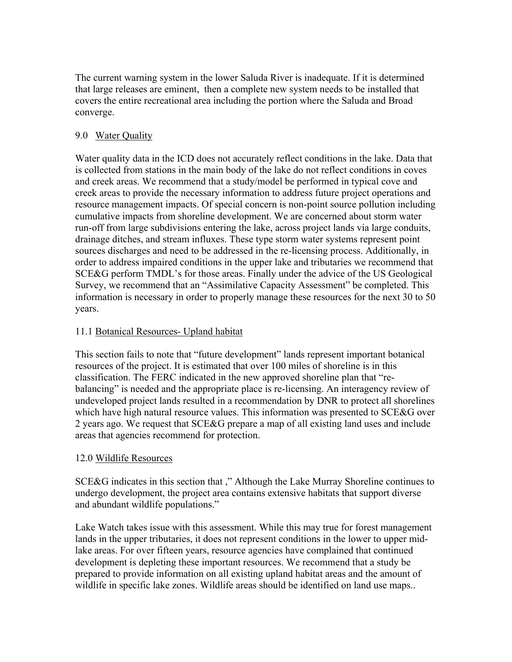The current warning system in the lower Saluda River is inadequate. If it is determined that large releases are eminent, then a complete new system needs to be installed that covers the entire recreational area including the portion where the Saluda and Broad converge.

### 9.0 Water Quality

Water quality data in the ICD does not accurately reflect conditions in the lake. Data that is collected from stations in the main body of the lake do not reflect conditions in coves and creek areas. We recommend that a study/model be performed in typical cove and creek areas to provide the necessary information to address future project operations and resource management impacts. Of special concern is non-point source pollution including cumulative impacts from shoreline development. We are concerned about storm water run-off from large subdivisions entering the lake, across project lands via large conduits, drainage ditches, and stream influxes. These type storm water systems represent point sources discharges and need to be addressed in the re-licensing process. Additionally, in order to address impaired conditions in the upper lake and tributaries we recommend that SCE&G perform TMDL's for those areas. Finally under the advice of the US Geological Survey, we recommend that an "Assimilative Capacity Assessment" be completed. This information is necessary in order to properly manage these resources for the next 30 to 50 years.

#### 11.1 Botanical Resources- Upland habitat

This section fails to note that "future development" lands represent important botanical resources of the project. It is estimated that over 100 miles of shoreline is in this classification. The FERC indicated in the new approved shoreline plan that "rebalancing" is needed and the appropriate place is re-licensing. An interagency review of undeveloped project lands resulted in a recommendation by DNR to protect all shorelines which have high natural resource values. This information was presented to SCE&G over 2 years ago. We request that SCE&G prepare a map of all existing land uses and include areas that agencies recommend for protection.

#### 12.0 Wildlife Resources

SCE&G indicates in this section that ," Although the Lake Murray Shoreline continues to undergo development, the project area contains extensive habitats that support diverse and abundant wildlife populations."

Lake Watch takes issue with this assessment. While this may true for forest management lands in the upper tributaries, it does not represent conditions in the lower to upper midlake areas. For over fifteen years, resource agencies have complained that continued development is depleting these important resources. We recommend that a study be prepared to provide information on all existing upland habitat areas and the amount of wildlife in specific lake zones. Wildlife areas should be identified on land use maps..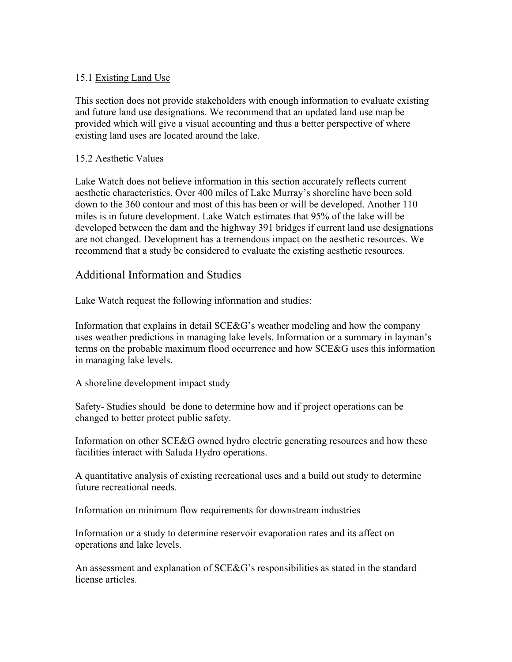#### 15.1 Existing Land Use

This section does not provide stakeholders with enough information to evaluate existing and future land use designations. We recommend that an updated land use map be provided which will give a visual accounting and thus a better perspective of where existing land uses are located around the lake.

#### 15.2 Aesthetic Values

Lake Watch does not believe information in this section accurately reflects current aesthetic characteristics. Over 400 miles of Lake Murray's shoreline have been sold down to the 360 contour and most of this has been or will be developed. Another 110 miles is in future development. Lake Watch estimates that 95% of the lake will be developed between the dam and the highway 391 bridges if current land use designations are not changed. Development has a tremendous impact on the aesthetic resources. We recommend that a study be considered to evaluate the existing aesthetic resources.

# Additional Information and Studies

Lake Watch request the following information and studies:

Information that explains in detail SCE&G's weather modeling and how the company uses weather predictions in managing lake levels. Information or a summary in layman's terms on the probable maximum flood occurrence and how SCE&G uses this information in managing lake levels.

A shoreline development impact study

Safety- Studies should be done to determine how and if project operations can be changed to better protect public safety.

Information on other SCE&G owned hydro electric generating resources and how these facilities interact with Saluda Hydro operations.

A quantitative analysis of existing recreational uses and a build out study to determine future recreational needs.

Information on minimum flow requirements for downstream industries

Information or a study to determine reservoir evaporation rates and its affect on operations and lake levels.

An assessment and explanation of SCE&G's responsibilities as stated in the standard license articles.